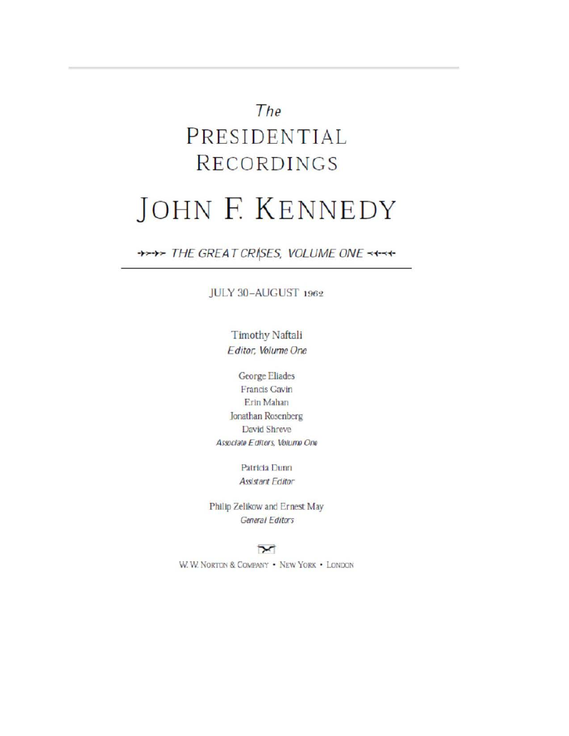## The PRESIDENTIAL **RECORDINGS**

## **JOHN F. KENNEDY**

+>+> THE GREAT CRISES, VOLUME ONE <<-<-

JULY 30-AUGUST 1962

**Timothy Naftali** Editor, Volume One

**George Eliades** Francis Gavin Erin Mahan Jonathan Rosenberg David Shreve Associate Editors, Volume One

> Patricia Dunn Assistant Editor

Philip Zelikow and Ernest May General Editors

## $\mathbf{r}$

W. W. NORTON & COMPANY . NEW YORK . LONDON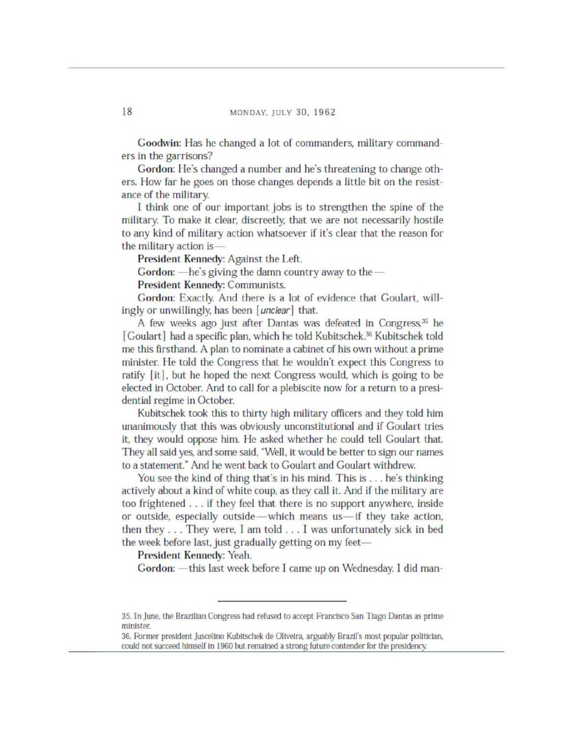Goodwin: Has he changed a lot of commanders, military commanders in the garrisons?

Gordon: He's changed a number and he's threatening to change others. How far he goes on those changes depends a little bit on the resistance of the military.

I think one of our important jobs is to strengthen the spine of the military. To make it clear, discreetly, that we are not necessarily hostile to any kind of military action whatsoever if it's clear that the reason for the military action is-

President Kennedy: Against the Left.

Gordon: - he's giving the damn country away to the-

President Kennedy: Communists.

Gordon: Exactly. And there is a lot of evidence that Goulart, willing ly or unwiUingly. has been *[unclear]* that.

A few weeks ago just after Dantas was defeated in Congress,<sup>35</sup> he [Goulart] had a specific plan, which he told Kubitschek.<sup>36</sup> Kubitschek told me this firsthand. A plan to nominate a cabinet of his own without a prime minister. He told the Congress that he wouldn't expect this Congress to ratify [it], but he hoped the next Congress would, which is going to be elected in October. And to call for a plebiscite now for a return to a presidential regime in October.

Kubitschek took this to thirty high military officers and they told him unanimously that this was obviously unconstitutional and if Goulart tries it, they would oppose him. He asked whether he could tell Goulart that. They all said yes, and some said, "Well, it would be better to sign our names to a statement." And he went back to Goulart and Goulart withdrew.

You see the kind of thing that's in his mind. This is ... he's thinking actively about a kind of white coup. as they call it. And if the military are too frightened . . . if they feel that there is no support anywhere, inside or outside, especially outside-which means us-if they take action, then they ... They were, 1 am told ... I was unfortunately sick in bed the week before last, just gradually getting on my feet-

President Kennedy: Yeah.

Gordon: - this last week before I came up on Wednesday. I did man-

<sup>35.</sup> In june. the Brazilian Congress had refused to accept Francisco San Tlago Dantas as prime minister.

<sup>36.</sup> Former president Juscelino Kubitschek de Oliveira, arguably Brazil's most popular politician. could not succeed himself In I 960 but remalned a strong future contender for the presidency.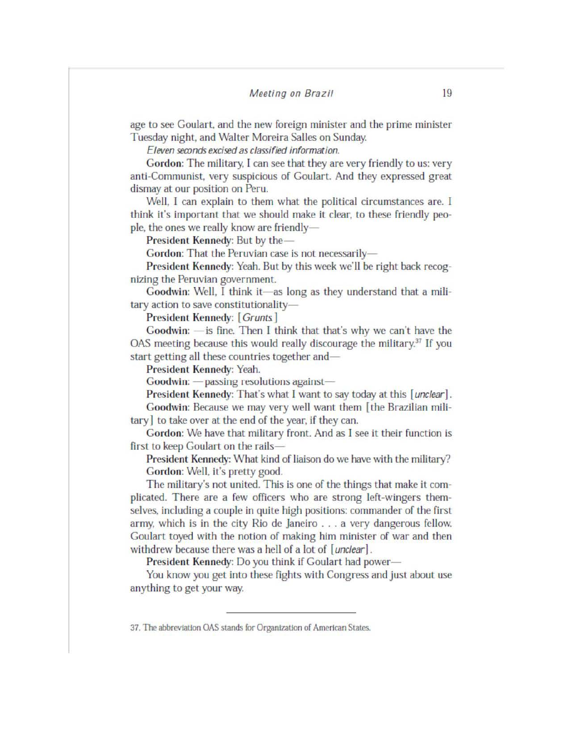age to see Goulart, and the new foreign minister and the prime minister Tuesday night, and Walter Moreira Salles on Sunday.

Eleven seconds excised as classified information.

Gordon: The military, I can see that they are very friendly to us: very and-Communist, very suspicious of Goulart. And they expressed great dismay at our position on Peru.

Well, 1 can explain to them what the political circumstances are. I think it's important that we should make it clear. to these friendly people, the ones we really know are friendly-

President Kennedy: But by the-

Gordon: That the Peruvian case is not necessarily-

President Kennedy: Yeah. But by this week we'll be right back recognizing the Peruvian government.

Goodwin: Well, I think it-as long as they understand that a military action to save constitutionality-

President Kennedy: [ Grunts ]

Goodwin:  $-$  is fine. Then I think that that's why we can't have the OAS meeting because this would really discourage the military.<sup>37</sup> If you start getting all these countries together and-

President Kennedy: Yeah.

Goodwin: - passing resolutions against-

President Kennedy: That's what I want to say today at this [unclear]. Goodwin: Because we may very well want them [the Brazilian military] to take over at the end of the year, if they can.

Gordon: We have that military front. And as I see it their function is first to keep Goulart on the rails-

President Kennedy: What kind of liaison do we have with the military? Gordon: Well, it's pretty good.

The military's not united. This is one of the things that make it complicated. There are a few officers who are strong left-wingers themselves, including a couple in quite high positions: commander of the first army, which is in the city Rio de janeiro ... a very dangerous fellow. Goulart toyed with the notion of making him minister of war and then withdrew because there was a hell of a lot of [unclear].

President Kennedy: Do you think if Goulart had power-

You know you get into these fights with Congress and just about use anything to get your way.

<sup>37.</sup> The abbreviation OAS stands for Organization of American States.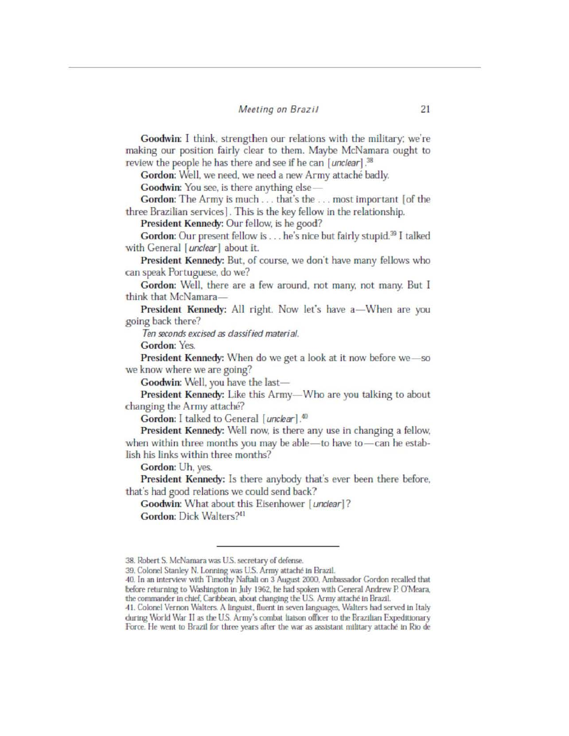## *Meeting on Braz* i1 <sup>21</sup>

Goodwin: I think. strengthen our relations with the military: we're making our position fairly clear to them. Maybe McNamara ought to review the people he has there and see if he can [unclear].<sup>38</sup>

Gordon: Well, we need, we need a new Army attaché badly.

Goodwin: You see, is there anything else-

Gordon: The Army is much ... that's the ... most important [of the three Brazilian services) . This is the key fellow in the relationship.

President Kennedy: Our fellow, is he good?

Gordon: Our present fellow is . . . he's nice but fairly stupid.<sup>39</sup> I talked with General [*unclear*] about it.

President Kennedy: But. of course, we don't have many fellows who can speak Portuguese, do we?

Gordon: Well. there are a few around. not many. not many. But I think that McNamara-

President Kennedy: All right. Now let's have a-When are you going back there?

*Ten seconds excised* as *dassified material.* 

Gordon: Yes.

President Kennedy: When do we get a look at it now before we-so we know where we are going?

Goodwin: Well, you have the last-

President Kennedy: Like this Army-Who are you talking to about changing the Army attache?

Gordon: I talked to General [ $unclear$ ].<sup>40</sup>

President Kennedy: Well now, is there any use in changing a fellow. when within three months you may be able-to have to-can he establish his links within three months?

Gordon: Uh. yes.

President Kennedy: Is there anybody that's ever been there before, that's had good relations we could send back?

Goodwin: \Nhat about this Eisenhower [ *undear]?*  Gordon: Dick Walters?<sup>41</sup>

<sup>38.</sup> Robert S. McNamara was U.S. secretary of defense.

<sup>39.</sup> Colonel Stanley N. Lonning was U.S. Army attaché in Brazil.

<sup>40.</sup> In an interview with Timothy Naftali on 3 August 2000, Ambassador Gordon recalled that before returning to Washington in July 1962, he had spoken with General Andrew P. O'Meara. the commander in chief. Caribbean, about changing the U.S. Army attache in Brazil.

<sup>41.</sup> Colonel Vernon Walters. A linguist, fluent in seven languages, Walters had served in Italy during World War II as the U.S. Army's combat liaison officer to the Brazilian Expeditionary Force. He went to Brazil for three years after the war as assistant military attaché in Rio de